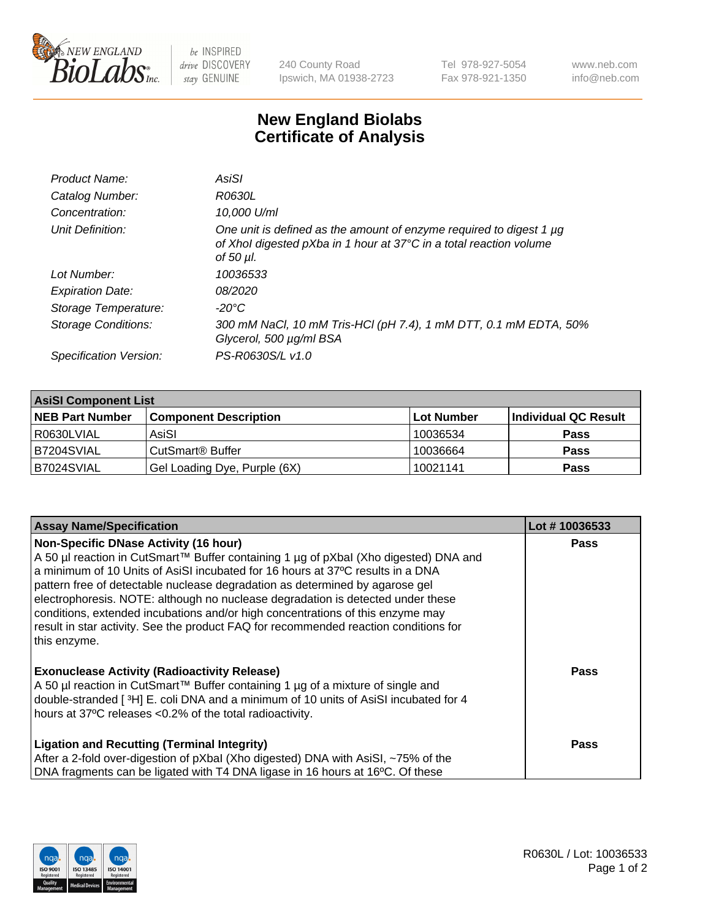

 $be$  INSPIRED drive DISCOVERY stay GENUINE

240 County Road Ipswich, MA 01938-2723 Tel 978-927-5054 Fax 978-921-1350 www.neb.com info@neb.com

## **New England Biolabs Certificate of Analysis**

| Product Name:              | AsiSI                                                                                                                                                  |
|----------------------------|--------------------------------------------------------------------------------------------------------------------------------------------------------|
| Catalog Number:            | R0630L                                                                                                                                                 |
| Concentration:             | 10,000 U/ml                                                                                                                                            |
| Unit Definition:           | One unit is defined as the amount of enzyme required to digest 1 µg<br>of Xhol digested pXba in 1 hour at 37°C in a total reaction volume<br>of 50 µl. |
| Lot Number:                | 10036533                                                                                                                                               |
| <b>Expiration Date:</b>    | <i>08/2020</i>                                                                                                                                         |
| Storage Temperature:       | $-20^{\circ}$ C                                                                                                                                        |
| <b>Storage Conditions:</b> | 300 mM NaCl, 10 mM Tris-HCl (pH 7.4), 1 mM DTT, 0.1 mM EDTA, 50%<br>Glycerol, 500 µg/ml BSA                                                            |
| Specification Version:     | PS-R0630S/L v1.0                                                                                                                                       |

| <b>AsiSI Component List</b> |                              |            |                      |  |  |
|-----------------------------|------------------------------|------------|----------------------|--|--|
| <b>NEB Part Number</b>      | <b>Component Description</b> | Lot Number | Individual QC Result |  |  |
| R0630LVIAL                  | AsiSI                        | 10036534   | <b>Pass</b>          |  |  |
| B7204SVIAL                  | CutSmart <sup>®</sup> Buffer | 10036664   | <b>Pass</b>          |  |  |
| B7024SVIAL                  | Gel Loading Dye, Purple (6X) | 10021141   | <b>Pass</b>          |  |  |

| <b>Assay Name/Specification</b>                                                                                                                                                                                                                                                                                                                                                                                                                                                                                                                                                     | Lot #10036533 |
|-------------------------------------------------------------------------------------------------------------------------------------------------------------------------------------------------------------------------------------------------------------------------------------------------------------------------------------------------------------------------------------------------------------------------------------------------------------------------------------------------------------------------------------------------------------------------------------|---------------|
| <b>Non-Specific DNase Activity (16 hour)</b><br>A 50 µl reaction in CutSmart™ Buffer containing 1 µg of pXbal (Xho digested) DNA and<br>a minimum of 10 Units of AsiSI incubated for 16 hours at 37°C results in a DNA<br>pattern free of detectable nuclease degradation as determined by agarose gel<br>electrophoresis. NOTE: although no nuclease degradation is detected under these<br>conditions, extended incubations and/or high concentrations of this enzyme may<br>result in star activity. See the product FAQ for recommended reaction conditions for<br>this enzyme. | <b>Pass</b>   |
| <b>Exonuclease Activity (Radioactivity Release)</b><br>A 50 µl reaction in CutSmart™ Buffer containing 1 µg of a mixture of single and<br>double-stranded [3H] E. coli DNA and a minimum of 10 units of AsiSI incubated for 4<br>hours at 37°C releases <0.2% of the total radioactivity.                                                                                                                                                                                                                                                                                           | <b>Pass</b>   |
| <b>Ligation and Recutting (Terminal Integrity)</b><br>After a 2-fold over-digestion of pXbal (Xho digested) DNA with AsiSI, ~75% of the<br>DNA fragments can be ligated with T4 DNA ligase in 16 hours at 16°C. Of these                                                                                                                                                                                                                                                                                                                                                            | Pass          |